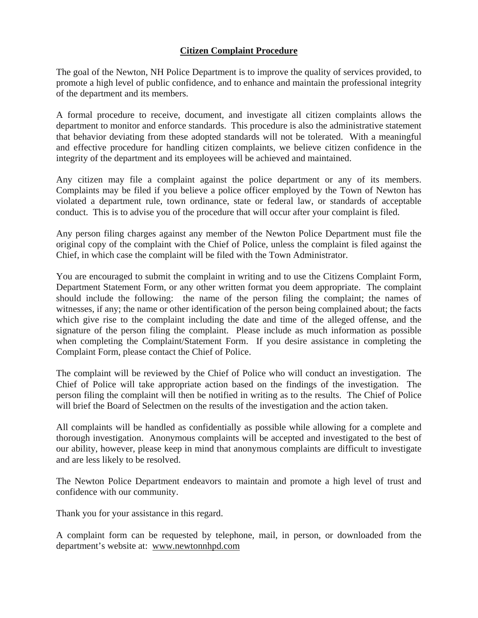## **Citizen Complaint Procedure**

The goal of the Newton, NH Police Department is to improve the quality of services provided, to promote a high level of public confidence, and to enhance and maintain the professional integrity of the department and its members.

A formal procedure to receive, document, and investigate all citizen complaints allows the department to monitor and enforce standards. This procedure is also the administrative statement that behavior deviating from these adopted standards will not be tolerated. With a meaningful and effective procedure for handling citizen complaints, we believe citizen confidence in the integrity of the department and its employees will be achieved and maintained.

Any citizen may file a complaint against the police department or any of its members. Complaints may be filed if you believe a police officer employed by the Town of Newton has violated a department rule, town ordinance, state or federal law, or standards of acceptable conduct. This is to advise you of the procedure that will occur after your complaint is filed.

Any person filing charges against any member of the Newton Police Department must file the original copy of the complaint with the Chief of Police, unless the complaint is filed against the Chief, in which case the complaint will be filed with the Town Administrator.

You are encouraged to submit the complaint in writing and to use the Citizens Complaint Form, Department Statement Form, or any other written format you deem appropriate. The complaint should include the following: the name of the person filing the complaint; the names of witnesses, if any; the name or other identification of the person being complained about; the facts which give rise to the complaint including the date and time of the alleged offense, and the signature of the person filing the complaint. Please include as much information as possible when completing the Complaint/Statement Form. If you desire assistance in completing the Complaint Form, please contact the Chief of Police.

The complaint will be reviewed by the Chief of Police who will conduct an investigation. The Chief of Police will take appropriate action based on the findings of the investigation. The person filing the complaint will then be notified in writing as to the results. The Chief of Police will brief the Board of Selectmen on the results of the investigation and the action taken.

All complaints will be handled as confidentially as possible while allowing for a complete and thorough investigation. Anonymous complaints will be accepted and investigated to the best of our ability, however, please keep in mind that anonymous complaints are difficult to investigate and are less likely to be resolved.

The Newton Police Department endeavors to maintain and promote a high level of trust and confidence with our community.

Thank you for your assistance in this regard.

A complaint form can be requested by telephone, mail, in person, or downloaded from the department's website at: www.newtonnhpd.com